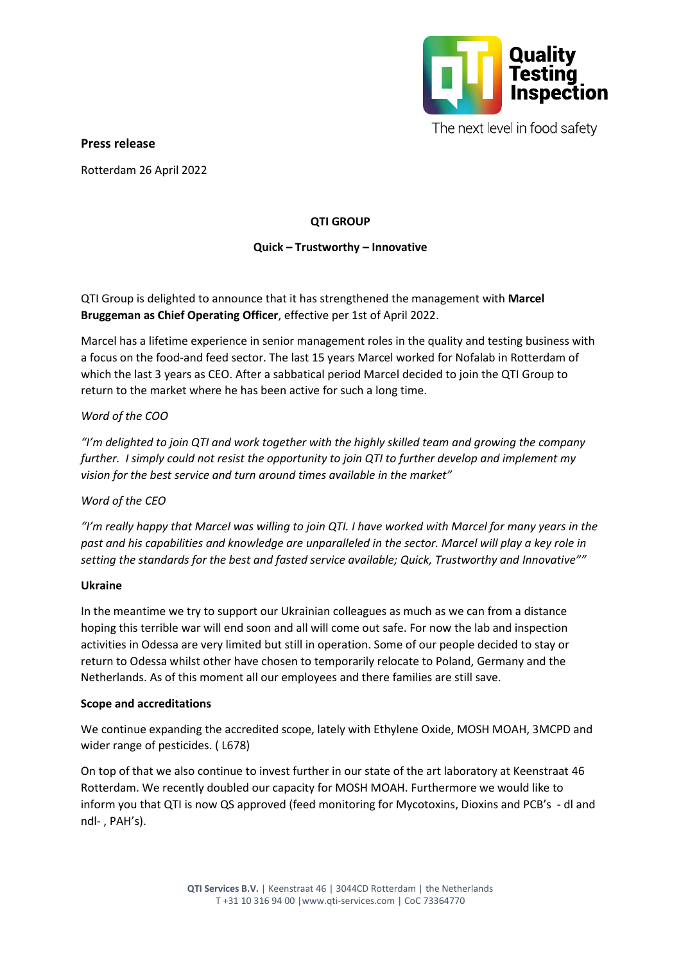

The next level in food safety

**Press release**

Rotterdam 26 April 2022

# **QTI GROUP**

# **Quick – Trustworthy – Innovative**

QTI Group is delighted to announce that it has strengthened the management with **Marcel Bruggeman as Chief Operating Officer**, effective per 1st of April 2022.

Marcel has a lifetime experience in senior management roles in the quality and testing business with a focus on the food-and feed sector. The last 15 years Marcel worked for Nofalab in Rotterdam of which the last 3 years as CEO. After a sabbatical period Marcel decided to join the QTI Group to return to the market where he has been active for such a long time.

### *Word of the COO*

*"I'm delighted to join QTI and work together with the highly skilled team and growing the company further. I simply could not resist the opportunity to join QTI to further develop and implement my vision for the best service and turn around times available in the market"*

### *Word of the CEO*

*"I'm really happy that Marcel was willing to join QTI. I have worked with Marcel for many years in the past and his capabilities and knowledge are unparalleled in the sector. Marcel will play a key role in setting the standards for the best and fasted service available; Quick, Trustworthy and Innovative""* 

#### **Ukraine**

In the meantime we try to support our Ukrainian colleagues as much as we can from a distance hoping this terrible war will end soon and all will come out safe. For now the lab and inspection activities in Odessa are very limited but still in operation. Some of our people decided to stay or return to Odessa whilst other have chosen to temporarily relocate to Poland, Germany and the Netherlands. As of this moment all our employees and there families are still save.

#### **Scope and accreditations**

We continue expanding the accredited scope, lately with Ethylene Oxide, MOSH MOAH, 3MCPD and wider range of pesticides. ( L678)

On top of that we also continue to invest further in our state of the art laboratory at Keenstraat 46 Rotterdam. We recently doubled our capacity for MOSH MOAH. Furthermore we would like to inform you that QTI is now QS approved (feed monitoring for Mycotoxins, Dioxins and PCB's - dl and ndl- , PAH's).